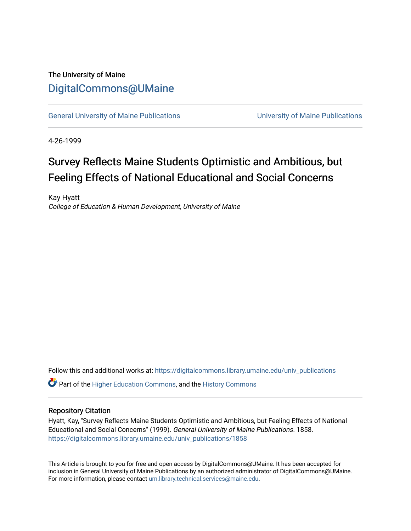### The University of Maine [DigitalCommons@UMaine](https://digitalcommons.library.umaine.edu/)

[General University of Maine Publications](https://digitalcommons.library.umaine.edu/univ_publications) [University of Maine Publications](https://digitalcommons.library.umaine.edu/umaine_publications) 

4-26-1999

# Survey Reflects Maine Students Optimistic and Ambitious, but Feeling Effects of National Educational and Social Concerns

Kay Hyatt College of Education & Human Development, University of Maine

Follow this and additional works at: [https://digitalcommons.library.umaine.edu/univ\\_publications](https://digitalcommons.library.umaine.edu/univ_publications?utm_source=digitalcommons.library.umaine.edu%2Funiv_publications%2F1858&utm_medium=PDF&utm_campaign=PDFCoverPages) 

**C** Part of the [Higher Education Commons,](http://network.bepress.com/hgg/discipline/1245?utm_source=digitalcommons.library.umaine.edu%2Funiv_publications%2F1858&utm_medium=PDF&utm_campaign=PDFCoverPages) and the [History Commons](http://network.bepress.com/hgg/discipline/489?utm_source=digitalcommons.library.umaine.edu%2Funiv_publications%2F1858&utm_medium=PDF&utm_campaign=PDFCoverPages)

#### Repository Citation

Hyatt, Kay, "Survey Reflects Maine Students Optimistic and Ambitious, but Feeling Effects of National Educational and Social Concerns" (1999). General University of Maine Publications. 1858. [https://digitalcommons.library.umaine.edu/univ\\_publications/1858](https://digitalcommons.library.umaine.edu/univ_publications/1858?utm_source=digitalcommons.library.umaine.edu%2Funiv_publications%2F1858&utm_medium=PDF&utm_campaign=PDFCoverPages)

This Article is brought to you for free and open access by DigitalCommons@UMaine. It has been accepted for inclusion in General University of Maine Publications by an authorized administrator of DigitalCommons@UMaine. For more information, please contact [um.library.technical.services@maine.edu](mailto:um.library.technical.services@maine.edu).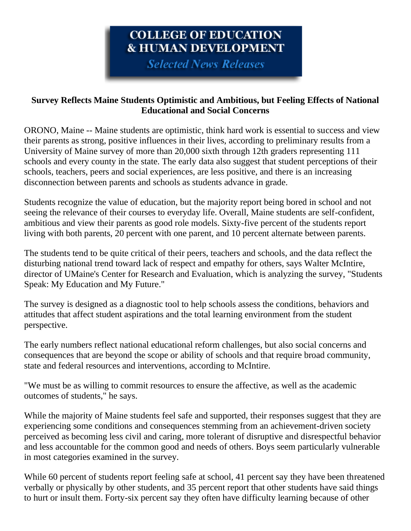# COLLEGE OF EDUCATION **& HUMAN DEVELOPMENT**

**Selected News Releases** 

#### **Survey Reflects Maine Students Optimistic and Ambitious, but Feeling Effects of National Educational and Social Concerns**

ORONO, Maine -- Maine students are optimistic, think hard work is essential to success and view their parents as strong, positive influences in their lives, according to preliminary results from a University of Maine survey of more than 20,000 sixth through 12th graders representing 111 schools and every county in the state. The early data also suggest that student perceptions of their schools, teachers, peers and social experiences, are less positive, and there is an increasing disconnection between parents and schools as students advance in grade.

Students recognize the value of education, but the majority report being bored in school and not seeing the relevance of their courses to everyday life. Overall, Maine students are self-confident, ambitious and view their parents as good role models. Sixty-five percent of the students report living with both parents, 20 percent with one parent, and 10 percent alternate between parents.

The students tend to be quite critical of their peers, teachers and schools, and the data reflect the disturbing national trend toward lack of respect and empathy for others, says Walter McIntire, director of UMaine's Center for Research and Evaluation, which is analyzing the survey, "Students Speak: My Education and My Future."

The survey is designed as a diagnostic tool to help schools assess the conditions, behaviors and attitudes that affect student aspirations and the total learning environment from the student perspective.

The early numbers reflect national educational reform challenges, but also social concerns and consequences that are beyond the scope or ability of schools and that require broad community, state and federal resources and interventions, according to McIntire.

"We must be as willing to commit resources to ensure the affective, as well as the academic outcomes of students," he says.

While the majority of Maine students feel safe and supported, their responses suggest that they are experiencing some conditions and consequences stemming from an achievement-driven society perceived as becoming less civil and caring, more tolerant of disruptive and disrespectful behavior and less accountable for the common good and needs of others. Boys seem particularly vulnerable in most categories examined in the survey.

While 60 percent of students report feeling safe at school, 41 percent say they have been threatened verbally or physically by other students, and 35 percent report that other students have said things to hurt or insult them. Forty-six percent say they often have difficulty learning because of other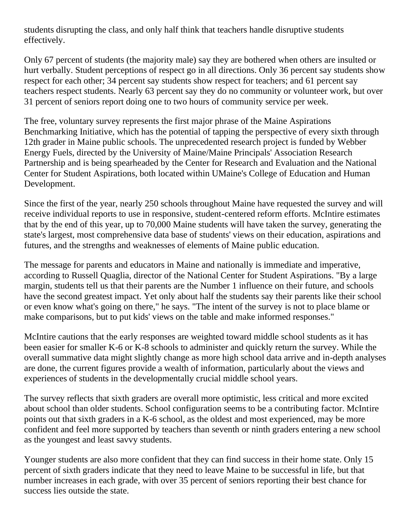students disrupting the class, and only half think that teachers handle disruptive students effectively.

Only 67 percent of students (the majority male) say they are bothered when others are insulted or hurt verbally. Student perceptions of respect go in all directions. Only 36 percent say students show respect for each other; 34 percent say students show respect for teachers; and 61 percent say teachers respect students. Nearly 63 percent say they do no community or volunteer work, but over 31 percent of seniors report doing one to two hours of community service per week.

The free, voluntary survey represents the first major phrase of the Maine Aspirations Benchmarking Initiative, which has the potential of tapping the perspective of every sixth through 12th grader in Maine public schools. The unprecedented research project is funded by Webber Energy Fuels, directed by the University of Maine/Maine Principals' Association Research Partnership and is being spearheaded by the Center for Research and Evaluation and the National Center for Student Aspirations, both located within UMaine's College of Education and Human Development.

Since the first of the year, nearly 250 schools throughout Maine have requested the survey and will receive individual reports to use in responsive, student-centered reform efforts. McIntire estimates that by the end of this year, up to 70,000 Maine students will have taken the survey, generating the state's largest, most comprehensive data base of students' views on their education, aspirations and futures, and the strengths and weaknesses of elements of Maine public education.

The message for parents and educators in Maine and nationally is immediate and imperative, according to Russell Quaglia, director of the National Center for Student Aspirations. "By a large margin, students tell us that their parents are the Number 1 influence on their future, and schools have the second greatest impact. Yet only about half the students say their parents like their school or even know what's going on there," he says. "The intent of the survey is not to place blame or make comparisons, but to put kids' views on the table and make informed responses."

McIntire cautions that the early responses are weighted toward middle school students as it has been easier for smaller K-6 or K-8 schools to administer and quickly return the survey. While the overall summative data might slightly change as more high school data arrive and in-depth analyses are done, the current figures provide a wealth of information, particularly about the views and experiences of students in the developmentally crucial middle school years.

The survey reflects that sixth graders are overall more optimistic, less critical and more excited about school than older students. School configuration seems to be a contributing factor. McIntire points out that sixth graders in a K-6 school, as the oldest and most experienced, may be more confident and feel more supported by teachers than seventh or ninth graders entering a new school as the youngest and least savvy students.

Younger students are also more confident that they can find success in their home state. Only 15 percent of sixth graders indicate that they need to leave Maine to be successful in life, but that number increases in each grade, with over 35 percent of seniors reporting their best chance for success lies outside the state.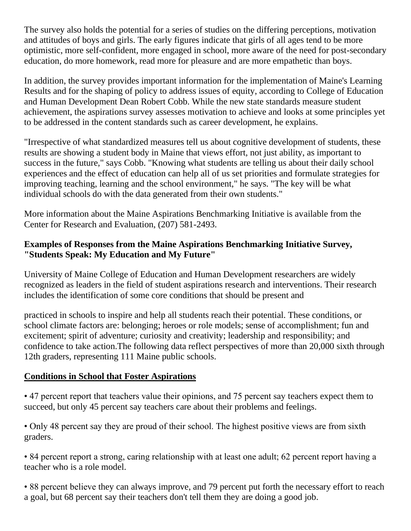The survey also holds the potential for a series of studies on the differing perceptions, motivation and attitudes of boys and girls. The early figures indicate that girls of all ages tend to be more optimistic, more self-confident, more engaged in school, more aware of the need for post-secondary education, do more homework, read more for pleasure and are more empathetic than boys.

In addition, the survey provides important information for the implementation of Maine's Learning Results and for the shaping of policy to address issues of equity, according to College of Education and Human Development Dean Robert Cobb. While the new state standards measure student achievement, the aspirations survey assesses motivation to achieve and looks at some principles yet to be addressed in the content standards such as career development, he explains.

"Irrespective of what standardized measures tell us about cognitive development of students, these results are showing a student body in Maine that views effort, not just ability, as important to success in the future," says Cobb. "Knowing what students are telling us about their daily school experiences and the effect of education can help all of us set priorities and formulate strategies for improving teaching, learning and the school environment," he says. "The key will be what individual schools do with the data generated from their own students."

More information about the Maine Aspirations Benchmarking Initiative is available from the Center for Research and Evaluation, (207) 581-2493.

#### **Examples of Responses from the Maine Aspirations Benchmarking Initiative Survey, "Students Speak: My Education and My Future"**

University of Maine College of Education and Human Development researchers are widely recognized as leaders in the field of student aspirations research and interventions. Their research includes the identification of some core conditions that should be present and

practiced in schools to inspire and help all students reach their potential. These conditions, or school climate factors are: belonging; heroes or role models; sense of accomplishment; fun and excitement; spirit of adventure; curiosity and creativity; leadership and responsibility; and confidence to take action.The following data reflect perspectives of more than 20,000 sixth through 12th graders, representing 111 Maine public schools.

### **Conditions in School that Foster Aspirations**

• 47 percent report that teachers value their opinions, and 75 percent say teachers expect them to succeed, but only 45 percent say teachers care about their problems and feelings.

• Only 48 percent say they are proud of their school. The highest positive views are from sixth graders.

• 84 percent report a strong, caring relationship with at least one adult; 62 percent report having a teacher who is a role model.

• 88 percent believe they can always improve, and 79 percent put forth the necessary effort to reach a goal, but 68 percent say their teachers don't tell them they are doing a good job.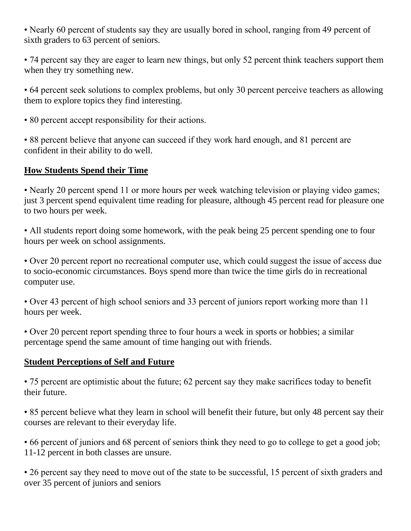• Nearly 60 percent of students say they are usually bored in school, ranging from 49 percent of sixth graders to 63 percent of seniors.

• 74 percent say they are eager to learn new things, but only 52 percent think teachers support them when they try something new.

• 64 percent seek solutions to complex problems, but only 30 percent perceive teachers as allowing them to explore topics they find interesting.

• 80 percent accept responsibility for their actions.

• 88 percent believe that anyone can succeed if they work hard enough, and 81 percent are confident in their ability to do well.

#### **How Students Spend their Time**

• Nearly 20 percent spend 11 or more hours per week watching television or playing video games; just 3 percent spend equivalent time reading for pleasure, although 45 percent read for pleasure one to two hours per week.

• All students report doing some homework, with the peak being 25 percent spending one to four hours per week on school assignments.

• Over 20 percent report no recreational computer use, which could suggest the issue of access due to socio-economic circumstances. Boys spend more than twice the time girls do in recreational computer use.

• Over 43 percent of high school seniors and 33 percent of juniors report working more than 11 hours per week.

• Over 20 percent report spending three to four hours a week in sports or hobbies; a similar percentage spend the same amount of time hanging out with friends.

#### **Student Perceptions of Self and Future**

• 75 percent are optimistic about the future; 62 percent say they make sacrifices today to benefit their future.

• 85 percent believe what they learn in school will benefit their future, but only 48 percent say their courses are relevant to their everyday life.

• 66 percent of juniors and 68 percent of seniors think they need to go to college to get a good job; 11-12 percent in both classes are unsure.

• 26 percent say they need to move out of the state to be successful, 15 percent of sixth graders and over 35 percent of juniors and seniors